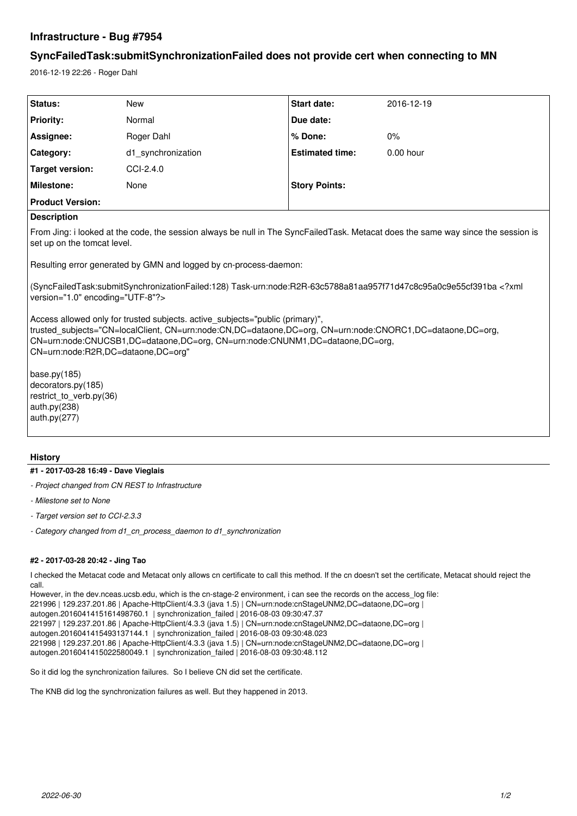# **Infrastructure - Bug #7954**

# **SyncFailedTask:submitSynchronizationFailed does not provide cert when connecting to MN**

2016-12-19 22:26 - Roger Dahl

| Status:                 | <b>New</b>         | <b>Start date:</b>     | 2016-12-19  |
|-------------------------|--------------------|------------------------|-------------|
| <b>Priority:</b>        | Normal             | Due date:              |             |
| Assignee:               | Roger Dahl         | % Done:                | 0%          |
| <b>Category:</b>        | d1 synchronization | <b>Estimated time:</b> | $0.00$ hour |
| Target version:         | CCI-2.4.0          |                        |             |
| <b>Milestone:</b>       | None               | <b>Story Points:</b>   |             |
| <b>Product Version:</b> |                    |                        |             |

## **Description**

From Jing: i looked at the code, the session always be null in The SyncFailedTask. Metacat does the same way since the session is set up on the tomcat level.

Resulting error generated by GMN and logged by cn-process-daemon:

(SyncFailedTask:submitSynchronizationFailed:128) Task-urn:node:R2R-63c5788a81aa957f71d47c8c95a0c9e55cf391ba <?xml version="1.0" encoding="UTF-8"?>

Access allowed only for trusted subjects. active subjects="public (primary)", trusted\_subjects="CN=localClient, CN=urn:node:CN,DC=dataone,DC=org, CN=urn:node:CNORC1,DC=dataone,DC=org, CN=urn:node:CNUCSB1,DC=dataone,DC=org, CN=urn:node:CNUNM1,DC=dataone,DC=org, CN=urn:node:R2R,DC=dataone,DC=org"

base.py(185) decorators.py(185) restrict\_to\_verb.py(36) auth.py(238) auth.py(277)

## **History**

#### **#1 - 2017-03-28 16:49 - Dave Vieglais**

- *Project changed from CN REST to Infrastructure*
- *Milestone set to None*
- *Target version set to CCI-2.3.3*
- *Category changed from d1\_cn\_process\_daemon to d1\_synchronization*

### **#2 - 2017-03-28 20:42 - Jing Tao**

I checked the Metacat code and Metacat only allows cn certificate to call this method. If the cn doesn't set the certificate, Metacat should reject the call.

However, in the dev.nceas.ucsb.edu, which is the cn-stage-2 environment, i can see the records on the access\_log file: 221996 | 129.237.201.86 | Apache-HttpClient/4.3.3 (java 1.5) | CN=urn:node:cnStageUNM2,DC=dataone,DC=org | autogen.2016041415161498760.1 | synchronization\_failed | 2016-08-03 09:30:47.37 221997 | 129.237.201.86 | Apache-HttpClient/4.3.3 (java 1.5) | CN=urn:node:cnStageUNM2,DC=dataone,DC=org | autogen.2016041415493137144.1 | synchronization\_failed | 2016-08-03 09:30:48.023 221998 | 129.237.201.86 | Apache-HttpClient/4.3.3 (java 1.5) | CN=urn:node:cnStageUNM2,DC=dataone,DC=org | autogen.2016041415022580049.1 | synchronization\_failed | 2016-08-03 09:30:48.112

So it did log the synchronization failures. So I believe CN did set the certificate.

The KNB did log the synchronization failures as well. But they happened in 2013.